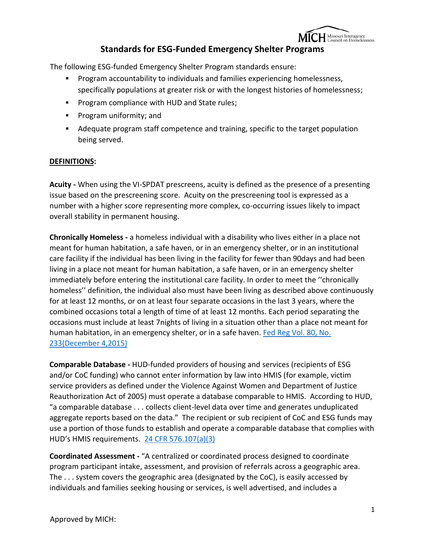

# **Standards for ESG-Funded Emergency Shelter Programs**

The following ESG-funded Emergency Shelter Program standards ensure:

- Program accountability to individuals and families experiencing homelessness, specifically populations at greater risk or with the longest histories of homelessness;
- **Program compliance with HUD and State rules;**
- **Program uniformity; and**
- Adequate program staff competence and training, specific to the target population being served.

#### **DEFINITIONS:**

**Acuity -** When using the VI-SPDAT prescreens, acuity is defined as the presence of a presenting issue based on the prescreening score. Acuity on the prescreening tool is expressed as a number with a higher score representing more complex, co-occurring issues likely to impact overall stability in permanent housing.

**Chronically Homeless -** a homeless individual with a disability who lives either in a place not meant for human habitation, a safe haven, or in an emergency shelter, or in an institutional care facility if the individual has been living in the facility for fewer than 90days and had been living in a place not meant for human habitation, a safe haven, or in an emergency shelter immediately before entering the institutional care facility. In order to meet the ''chronically homeless'' definition, the individual also must have been living as described above continuously for at least 12 months, or on at least four separate occasions in the last 3 years, where the combined occasions total a length of time of at least 12 months. Each period separating the occasions must include at least 7nights of living in a situation other than a place not meant for human habitation, in an emergency shelter, or in a safe haven. [Fed Reg Vol. 80, No.](https://www.hudexchange.info/resource/4847/hearth-defining-chronically-homeless-final-rule/)  [233\(December 4,2015\)](https://www.hudexchange.info/resource/4847/hearth-defining-chronically-homeless-final-rule/)

**Comparable Database -** HUD-funded providers of housing and services (recipients of ESG and/or CoC funding) who cannot enter information by law into HMIS (for example, victim service providers as defined under the Violence Against Women and Department of Justice Reauthorization Act of 2005) must operate a database comparable to HMIS. According to HUD, "a comparable database . . . collects client-level data over time and generates unduplicated aggregate reports based on the data." The recipient or sub recipient of CoC and ESG funds may use a portion of those funds to establish and operate a comparable database that complies with HUD's HMIS requirements. [24 CFR 576.107\(a\)\(3\)](https://www.ecfr.gov/cgi-bin/text-idx?SID=367b6ed429c573be45e284083284d774&mc=true&node=pt24.3.576&rgn=div5#se24.3.576_1107)

**Coordinated Assessment -** "A centralized or coordinated process designed to coordinate program participant intake, assessment, and provision of referrals across a geographic area. The . . . system covers the geographic area (designated by the CoC), is easily accessed by individuals and families seeking housing or services, is well advertised, and includes a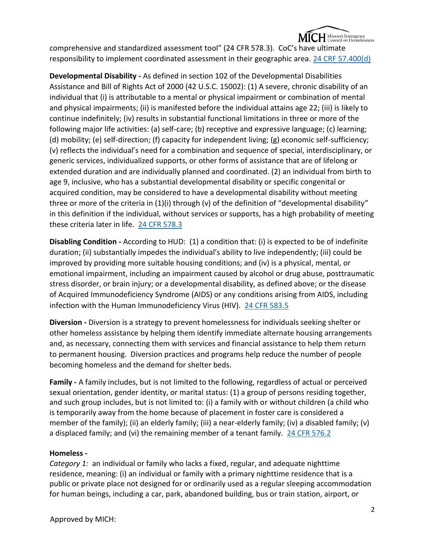

comprehensive and standardized assessment tool" (24 CFR 578.3). CoC's have ultimate responsibility to implement coordinated assessment in their geographic area. [24 CRF 57.400\(d\)](https://www.ecfr.gov/cgi-bin/text-idx?SID=367b6ed429c573be45e284083284d774&mc=true&node=pt24.3.576&rgn=div5#se24.3.576_1400)

**Developmental Disability -** As defined in section 102 of the Developmental Disabilities Assistance and Bill of Rights Act of 2000 (42 U.S.C. 15002): (1) A severe, chronic disability of an individual that (i) is attributable to a mental or physical impairment or combination of mental and physical impairments; (ii) is manifested before the individual attains age 22; (iii) is likely to continue indefinitely; (iv) results in substantial functional limitations in three or more of the following major life activities: (a) self-care; (b) receptive and expressive language; (c) learning; (d) mobility; (e) self-direction; (f) capacity for independent living; (g) economic self-sufficiency; (v) reflects the individual's need for a combination and sequence of special, interdisciplinary, or generic services, individualized supports, or other forms of assistance that are of lifelong or extended duration and are individually planned and coordinated. (2) an individual from birth to age 9, inclusive, who has a substantial developmental disability or specific congenital or acquired condition, may be considered to have a developmental disability without meeting three or more of the criteria in (1)(i) through (v) of the definition of "developmental disability" in this definition if the individual, without services or supports, has a high probability of meeting these criteria later in life. [24 CFR 578.3](https://www.ecfr.gov/cgi-bin/text-idx?SID=cad89570b93274f804640f67a1fd5604&mc=true&node=se24.3.578_13&rgn=div8)

**Disabling Condition -** According to HUD: (1) a condition that: (i) is expected to be of indefinite duration; (ii) substantially impedes the individual's ability to live independently; (iii) could be improved by providing more suitable housing conditions; and (iv) is a physical, mental, or emotional impairment, including an impairment caused by alcohol or drug abuse, posttraumatic stress disorder, or brain injury; or a developmental disability, as defined above; or the disease of Acquired Immunodeficiency Syndrome (AIDS) or any conditions arising from AIDS, including infection with the Human Immunodeficiency Virus (HIV). [24 CFR 583.5](https://www.ecfr.gov/cgi-bin/text-idx?SID=cad89570b93274f804640f67a1fd5604&mc=true&node=se24.3.583_15&rgn=div8)

**Diversion -** Diversion is a strategy to prevent homelessness for individuals seeking shelter or other homeless assistance by helping them identify immediate alternate housing arrangements and, as necessary, connecting them with services and financial assistance to help them return to permanent housing. Diversion practices and programs help reduce the number of people becoming homeless and the demand for shelter beds.

**Family -** A family includes, but is not limited to the following, regardless of actual or perceived sexual orientation, gender identity, or marital status: (1) a group of persons residing together, and such group includes, but is not limited to: (i) a family with or without children (a child who is temporarily away from the home because of placement in foster care is considered a member of the family); (ii) an elderly family; (iii) a near-elderly family; (iv) a disabled family; (v) a displaced family; and (vi) the remaining member of a tenant family. [24 CFR 576.2](https://www.ecfr.gov/cgi-bin/text-idx?SID=85fb5fbf128feb815a8786fbfa36d7cd&mc=true&node=pt24.1.5&rgn=div5#se24.1.5_1403)

# **Homeless -**

*Category 1:* an individual or family who lacks a fixed, regular, and adequate nighttime residence, meaning: (i) an individual or family with a primary nighttime residence that is a public or private place not designed for or ordinarily used as a regular sleeping accommodation for human beings, including a car, park, abandoned building, bus or train station, airport, or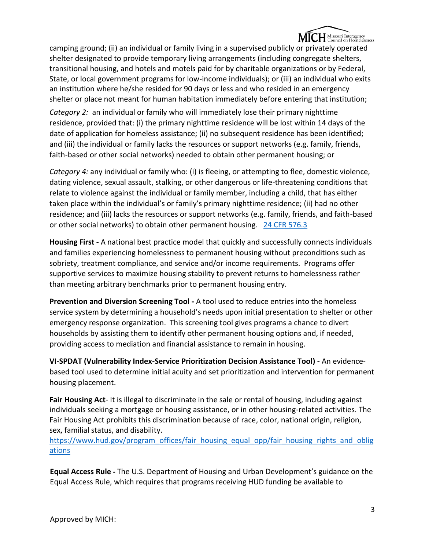

camping ground; (ii) an individual or family living in a supervised publicly or privately operated shelter designated to provide temporary living arrangements (including congregate shelters, transitional housing, and hotels and motels paid for by charitable organizations or by Federal, State, or local government programs for low-income individuals); or (iii) an individual who exits an institution where he/she resided for 90 days or less and who resided in an emergency shelter or place not meant for human habitation immediately before entering that institution;

*Category 2:* an individual or family who will immediately lose their primary nighttime residence, provided that: (i) the primary nighttime residence will be lost within 14 days of the date of application for homeless assistance; (ii) no subsequent residence has been identified; and (iii) the individual or family lacks the resources or support networks (e.g. family, friends, faith-based or other social networks) needed to obtain other permanent housing; or

*Category 4:* any individual or family who: (i) is fleeing, or attempting to flee, domestic violence, dating violence, sexual assault, stalking, or other dangerous or life-threatening conditions that relate to violence against the individual or family member, including a child, that has either taken place within the individual's or family's primary nighttime residence; (ii) had no other residence; and (iii) lacks the resources or support networks (e.g. family, friends, and faith-based or other social networks) to obtain other permanent housing. [24 CFR 576.3](https://www.ecfr.gov/cgi-bin/text-idx?SID=367b6ed429c573be45e284083284d774&mc=true&node=pt24.3.576&rgn=div5#se24.3.576_12)

**Housing First -** A national best practice model that quickly and successfully connects individuals and families experiencing homelessness to permanent housing without preconditions such as sobriety, treatment compliance, and service and/or income requirements. Programs offer supportive services to maximize housing stability to prevent returns to homelessness rather than meeting arbitrary benchmarks prior to permanent housing entry.

**Prevention and Diversion Screening Tool -** A tool used to reduce entries into the homeless service system by determining a household's needs upon initial presentation to shelter or other emergency response organization. This screening tool gives programs a chance to divert households by assisting them to identify other permanent housing options and, if needed, providing access to mediation and financial assistance to remain in housing.

**VI-SPDAT (Vulnerability Index-Service Prioritization Decision Assistance Tool) -** An evidencebased tool used to determine initial acuity and set prioritization and intervention for permanent housing placement.

**Fair Housing Act**- It is illegal to discriminate in the sale or rental of housing, including against individuals seeking a mortgage or housing assistance, or in other housing-related activities. The Fair Housing Act prohibits this discrimination because of race, color, national origin, religion, sex, familial status, and disability.

[https://www.hud.gov/program\\_offices/fair\\_housing\\_equal\\_opp/fair\\_housing\\_rights\\_and\\_oblig](https://www.hud.gov/program_offices/fair_housing_equal_opp/fair_housing_rights_and_obligations) [ations](https://www.hud.gov/program_offices/fair_housing_equal_opp/fair_housing_rights_and_obligations)

**Equal Access Rule -** The U.S. Department of Housing and Urban Development's guidance on the Equal Access Rule, which requires that programs receiving HUD funding be available to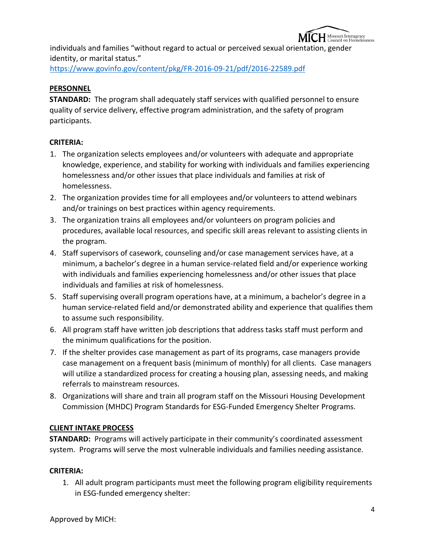

individuals and families "without regard to actual or perceived sexual orientation, gender identity, or marital status."

<https://www.govinfo.gov/content/pkg/FR-2016-09-21/pdf/2016-22589.pdf>

# **PERSONNEL**

**STANDARD:** The program shall adequately staff services with qualified personnel to ensure quality of service delivery, effective program administration, and the safety of program participants.

## **CRITERIA:**

- 1. The organization selects employees and/or volunteers with adequate and appropriate knowledge, experience, and stability for working with individuals and families experiencing homelessness and/or other issues that place individuals and families at risk of homelessness.
- 2. The organization provides time for all employees and/or volunteers to attend webinars and/or trainings on best practices within agency requirements.
- 3. The organization trains all employees and/or volunteers on program policies and procedures, available local resources, and specific skill areas relevant to assisting clients in the program.
- 4. Staff supervisors of casework, counseling and/or case management services have, at a minimum, a bachelor's degree in a human service-related field and/or experience working with individuals and families experiencing homelessness and/or other issues that place individuals and families at risk of homelessness.
- 5. Staff supervising overall program operations have, at a minimum, a bachelor's degree in a human service-related field and/or demonstrated ability and experience that qualifies them to assume such responsibility.
- 6. All program staff have written job descriptions that address tasks staff must perform and the minimum qualifications for the position.
- 7. If the shelter provides case management as part of its programs, case managers provide case management on a frequent basis (minimum of monthly) for all clients. Case managers will utilize a standardized process for creating a housing plan, assessing needs, and making referrals to mainstream resources.
- 8. Organizations will share and train all program staff on the Missouri Housing Development Commission (MHDC) Program Standards for ESG-Funded Emergency Shelter Programs.

# **CLIENT INTAKE PROCESS**

**STANDARD:** Programs will actively participate in their community's coordinated assessment system. Programs will serve the most vulnerable individuals and families needing assistance.

#### **CRITERIA:**

1. All adult program participants must meet the following program eligibility requirements in ESG-funded emergency shelter: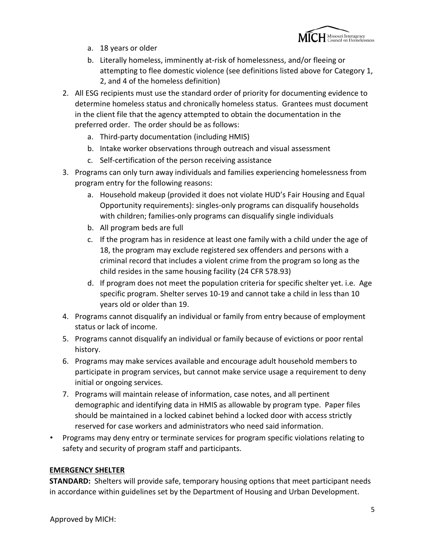

- a. 18 years or older
- b. Literally homeless, imminently at-risk of homelessness, and/or fleeing or attempting to flee domestic violence (see definitions listed above for Category 1, 2, and 4 of the homeless definition)
- 2. All ESG recipients must use the standard order of priority for documenting evidence to determine homeless status and chronically homeless status. Grantees must document in the client file that the agency attempted to obtain the documentation in the preferred order. The order should be as follows:
	- a. Third-party documentation (including HMIS)
	- b. Intake worker observations through outreach and visual assessment
	- c. Self-certification of the person receiving assistance
- 3. Programs can only turn away individuals and families experiencing homelessness from program entry for the following reasons:
	- a. Household makeup (provided it does not violate HUD's Fair Housing and Equal Opportunity requirements): singles-only programs can disqualify households with children; families-only programs can disqualify single individuals
	- b. All program beds are full
	- c. If the program has in residence at least one family with a child under the age of 18, the program may exclude registered sex offenders and persons with a criminal record that includes a violent crime from the program so long as the child resides in the same housing facility (24 CFR 578.93)
	- d. If program does not meet the population criteria for specific shelter yet. i.e. Age specific program. Shelter serves 10-19 and cannot take a child in less than 10 years old or older than 19.
- 4. Programs cannot disqualify an individual or family from entry because of employment status or lack of income.
- 5. Programs cannot disqualify an individual or family because of evictions or poor rental history.
- 6. Programs may make services available and encourage adult household members to participate in program services, but cannot make service usage a requirement to deny initial or ongoing services.
- 7. Programs will maintain release of information, case notes, and all pertinent demographic and identifying data in HMIS as allowable by program type. Paper files should be maintained in a locked cabinet behind a locked door with access strictly reserved for case workers and administrators who need said information.
- Programs may deny entry or terminate services for program specific violations relating to safety and security of program staff and participants.

# **EMERGENCY SHELTER**

**STANDARD:** Shelters will provide safe, temporary housing options that meet participant needs in accordance within guidelines set by the Department of Housing and Urban Development.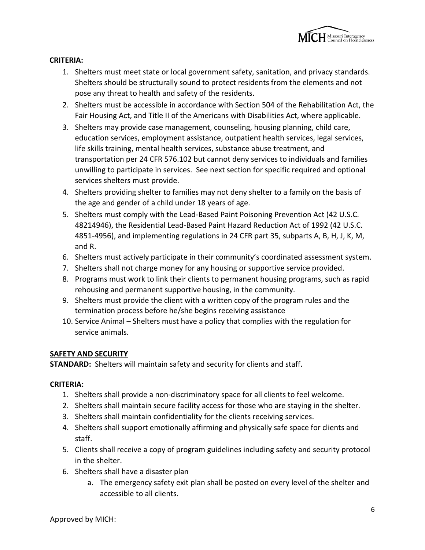

## **CRITERIA:**

- 1. Shelters must meet state or local government safety, sanitation, and privacy standards. Shelters should be structurally sound to protect residents from the elements and not pose any threat to health and safety of the residents.
- 2. Shelters must be accessible in accordance with Section 504 of the Rehabilitation Act, the Fair Housing Act, and Title II of the Americans with Disabilities Act, where applicable.
- 3. Shelters may provide case management, counseling, housing planning, child care, education services, employment assistance, outpatient health services, legal services, life skills training, mental health services, substance abuse treatment, and transportation per 24 CFR 576.102 but cannot deny services to individuals and families unwilling to participate in services. See next section for specific required and optional services shelters must provide.
- 4. Shelters providing shelter to families may not deny shelter to a family on the basis of the age and gender of a child under 18 years of age.
- 5. Shelters must comply with the Lead-Based Paint Poisoning Prevention Act (42 U.S.C. 48214946), the Residential Lead-Based Paint Hazard Reduction Act of 1992 (42 U.S.C. 4851-4956), and implementing regulations in 24 CFR part 35, subparts A, B, H, J, K, M, and R.
- 6. Shelters must actively participate in their community's coordinated assessment system.
- 7. Shelters shall not charge money for any housing or supportive service provided.
- 8. Programs must work to link their clients to permanent housing programs, such as rapid rehousing and permanent supportive housing, in the community.
- 9. Shelters must provide the client with a written copy of the program rules and the termination process before he/she begins receiving assistance
- 10. Service Animal Shelters must have a policy that complies with the regulation for service animals.

#### **SAFETY AND SECURITY**

**STANDARD:** Shelters will maintain safety and security for clients and staff.

#### **CRITERIA:**

- 1. Shelters shall provide a non-discriminatory space for all clients to feel welcome.
- 2. Shelters shall maintain secure facility access for those who are staying in the shelter.
- 3. Shelters shall maintain confidentiality for the clients receiving services.
- 4. Shelters shall support emotionally affirming and physically safe space for clients and staff.
- 5. Clients shall receive a copy of program guidelines including safety and security protocol in the shelter.
- 6. Shelters shall have a disaster plan
	- a. The emergency safety exit plan shall be posted on every level of the shelter and accessible to all clients.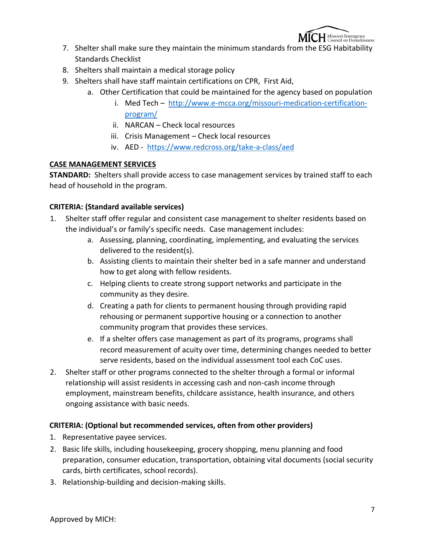

- 7. Shelter shall make sure they maintain the minimum standards from the ESG Habitability Standards Checklist
- 8. Shelters shall maintain a medical storage policy
- 9. Shelters shall have staff maintain certifications on CPR, First Aid,
	- a. Other Certification that could be maintained for the agency based on population
		- i. Med Tech – [http://www.e-mcca.org/missouri-medication-certification](http://www.e-mcca.org/missouri-medication-certification-program/)[program/](http://www.e-mcca.org/missouri-medication-certification-program/)
		- ii. NARCAN Check local resources
		- iii. Crisis Management Check local resources
		- iv. AED <https://www.redcross.org/take-a-class/aed>

## **CASE MANAGEMENT SERVICES**

**STANDARD:** Shelters shall provide access to case management services by trained staff to each head of household in the program.

## **CRITERIA: (Standard available services)**

- 1. Shelter staff offer regular and consistent case management to shelter residents based on the individual's or family's specific needs. Case management includes:
	- a. Assessing, planning, coordinating, implementing, and evaluating the services delivered to the resident(s).
	- b. Assisting clients to maintain their shelter bed in a safe manner and understand how to get along with fellow residents.
	- c. Helping clients to create strong support networks and participate in the community as they desire.
	- d. Creating a path for clients to permanent housing through providing rapid rehousing or permanent supportive housing or a connection to another community program that provides these services.
	- e. If a shelter offers case management as part of its programs, programs shall record measurement of acuity over time, determining changes needed to better serve residents, based on the individual assessment tool each CoC uses.
- 2. Shelter staff or other programs connected to the shelter through a formal or informal relationship will assist residents in accessing cash and non-cash income through employment, mainstream benefits, childcare assistance, health insurance, and others ongoing assistance with basic needs.

# **CRITERIA: (Optional but recommended services, often from other providers)**

- 1. Representative payee services.
- 2. Basic life skills, including housekeeping, grocery shopping, menu planning and food preparation, consumer education, transportation, obtaining vital documents (social security cards, birth certificates, school records).
- 3. Relationship-building and decision-making skills.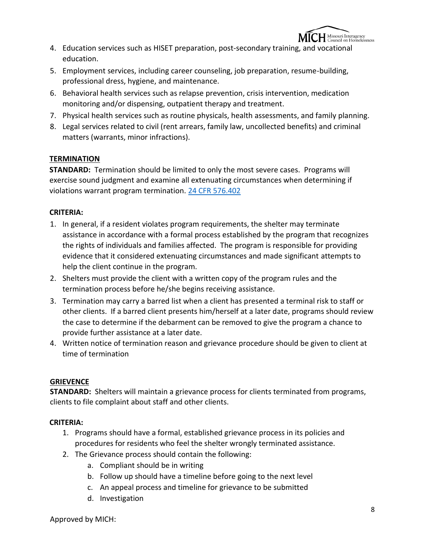

- 4. Education services such as HISET preparation, post-secondary training, and vocational education.
- 5. Employment services, including career counseling, job preparation, resume-building, professional dress, hygiene, and maintenance.
- 6. Behavioral health services such as relapse prevention, crisis intervention, medication monitoring and/or dispensing, outpatient therapy and treatment.
- 7. Physical health services such as routine physicals, health assessments, and family planning.
- 8. Legal services related to civil (rent arrears, family law, uncollected benefits) and criminal matters (warrants, minor infractions).

# **TERMINATION**

**STANDARD:** Termination should be limited to only the most severe cases. Programs will exercise sound judgment and examine all extenuating circumstances when determining if violations warrant program termination. [24 CFR 576.402](https://www.ecfr.gov/cgi-bin/text-idx?SID=367b6ed429c573be45e284083284d774&mc=true&node=pt24.3.576&rgn=div5#se24.3.576_1402)

# **CRITERIA:**

- 1. In general, if a resident violates program requirements, the shelter may terminate assistance in accordance with a formal process established by the program that recognizes the rights of individuals and families affected. The program is responsible for providing evidence that it considered extenuating circumstances and made significant attempts to help the client continue in the program.
- 2. Shelters must provide the client with a written copy of the program rules and the termination process before he/she begins receiving assistance.
- 3. Termination may carry a barred list when a client has presented a terminal risk to staff or other clients. If a barred client presents him/herself at a later date, programs should review the case to determine if the debarment can be removed to give the program a chance to provide further assistance at a later date.
- 4. Written notice of termination reason and grievance procedure should be given to client at time of termination

# **GRIEVENCE**

**STANDARD:** Shelters will maintain a grievance process for clients terminated from programs, clients to file complaint about staff and other clients.

# **CRITERIA:**

- 1. Programs should have a formal, established grievance process in its policies and procedures for residents who feel the shelter wrongly terminated assistance.
- 2. The Grievance process should contain the following:
	- a. Compliant should be in writing
	- b. Follow up should have a timeline before going to the next level
	- c. An appeal process and timeline for grievance to be submitted
	- d. Investigation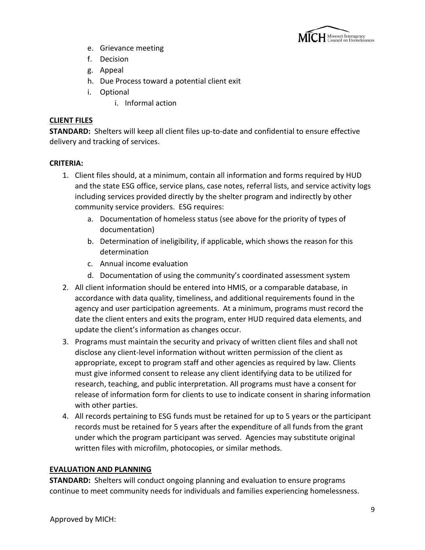

- e. Grievance meeting
- f. Decision
- g. Appeal
- h. Due Process toward a potential client exit
- i. Optional
	- i. Informal action

## **CLIENT FILES**

**STANDARD:** Shelters will keep all client files up-to-date and confidential to ensure effective delivery and tracking of services.

## **CRITERIA:**

- 1. Client files should, at a minimum, contain all information and forms required by HUD and the state ESG office, service plans, case notes, referral lists, and service activity logs including services provided directly by the shelter program and indirectly by other community service providers. ESG requires:
	- a. Documentation of homeless status (see above for the priority of types of documentation)
	- b. Determination of ineligibility, if applicable, which shows the reason for this determination
	- c. Annual income evaluation
	- d. Documentation of using the community's coordinated assessment system
- 2. All client information should be entered into HMIS, or a comparable database, in accordance with data quality, timeliness, and additional requirements found in the agency and user participation agreements. At a minimum, programs must record the date the client enters and exits the program, enter HUD required data elements, and update the client's information as changes occur.
- 3. Programs must maintain the security and privacy of written client files and shall not disclose any client-level information without written permission of the client as appropriate, except to program staff and other agencies as required by law. Clients must give informed consent to release any client identifying data to be utilized for research, teaching, and public interpretation. All programs must have a consent for release of information form for clients to use to indicate consent in sharing information with other parties.
- 4. All records pertaining to ESG funds must be retained for up to 5 years or the participant records must be retained for 5 years after the expenditure of all funds from the grant under which the program participant was served. Agencies may substitute original written files with microfilm, photocopies, or similar methods.

# **EVALUATION AND PLANNING**

**STANDARD:** Shelters will conduct ongoing planning and evaluation to ensure programs continue to meet community needs for individuals and families experiencing homelessness.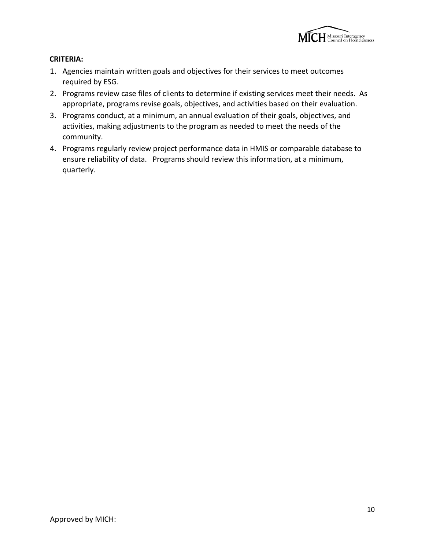

## **CRITERIA:**

- 1. Agencies maintain written goals and objectives for their services to meet outcomes required by ESG.
- 2. Programs review case files of clients to determine if existing services meet their needs. As appropriate, programs revise goals, objectives, and activities based on their evaluation.
- 3. Programs conduct, at a minimum, an annual evaluation of their goals, objectives, and activities, making adjustments to the program as needed to meet the needs of the community.
- 4. Programs regularly review project performance data in HMIS or comparable database to ensure reliability of data. Programs should review this information, at a minimum, quarterly.